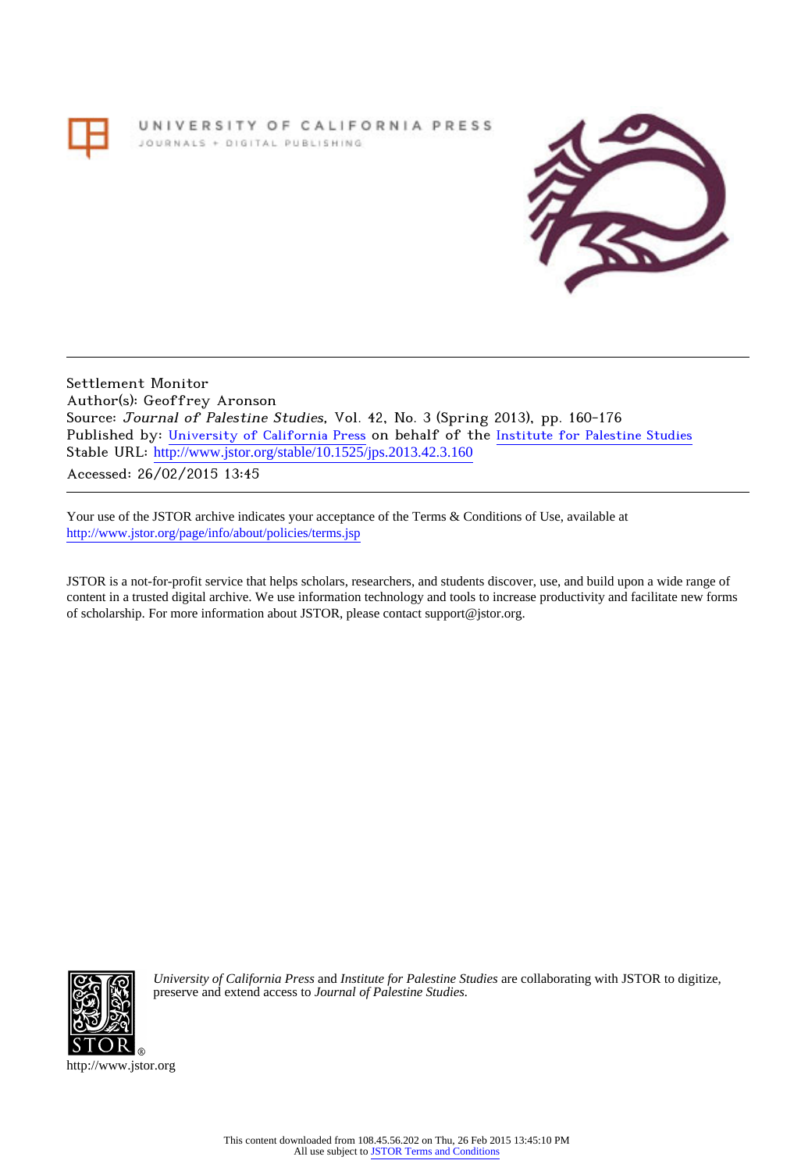## UNIVERSITY OF CALIFORNIA PRESS JOURNALS + DIGITAL PUBLISHING



Settlement Monitor Author(s): Geoffrey Aronson Source: Journal of Palestine Studies, Vol. 42, No. 3 (Spring 2013), pp. 160-176 Published by: [University of California Press](http://www.jstor.org/action/showPublisher?publisherCode=ucal) on behalf of the [Institute for Palestine Studies](http://www.jstor.org/action/showPublisher?publisherCode=palstud) Stable URL: http://www.jstor.org/stable/10.1525/jps.2013.42.3.160

Accessed: 26/02/2015 13:45

Your use of the JSTOR archive indicates your acceptance of the Terms & Conditions of Use, available at <http://www.jstor.org/page/info/about/policies/terms.jsp>

JSTOR is a not-for-profit service that helps scholars, researchers, and students discover, use, and build upon a wide range of content in a trusted digital archive. We use information technology and tools to increase productivity and facilitate new forms of scholarship. For more information about JSTOR, please contact support@jstor.org.



*University of California Press* and *Institute for Palestine Studies* are collaborating with JSTOR to digitize, preserve and extend access to *Journal of Palestine Studies.*

http://www.jstor.org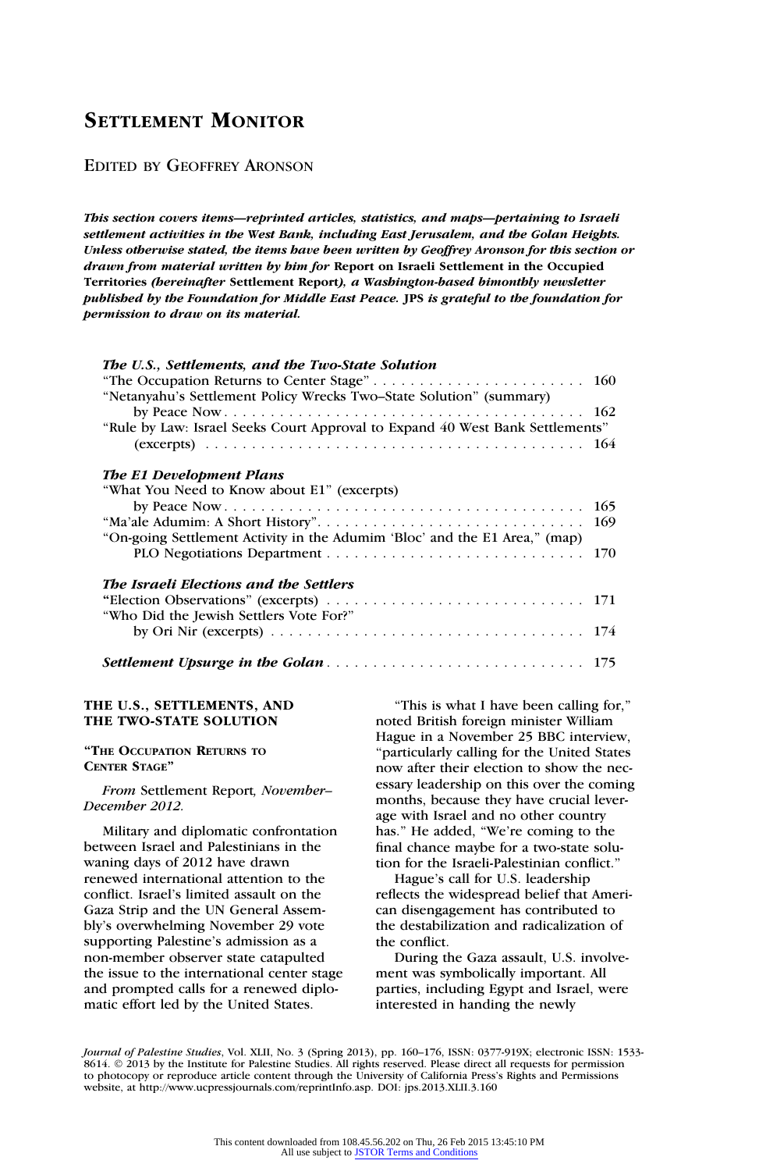## EDITED BY GEOFFREY ARONSON

This section covers items—reprinted articles, statistics, and maps—pertaining to Israeli settlement activities in the West Bank, including East Jerusalem, and the Golan Heights. Unless otherwise stated, the items have been written by Geoffrey Aronson for this section or drawn from material written by him for Report on Israeli Settlement in the Occupied Territories (hereinafter Settlement Report), a Washington-based bimonthly newsletter published by the Foundation for Middle East Peace. JPS is grateful to the foundation for permission to draw on its material.

| The U.S., Settlements, and the Two-State Solution                                                               |  |
|-----------------------------------------------------------------------------------------------------------------|--|
|                                                                                                                 |  |
| "Netanyahu's Settlement Policy Wrecks Two–State Solution" (summary)                                             |  |
|                                                                                                                 |  |
| "Rule by Law: Israel Seeks Court Approval to Expand 40 West Bank Settlements"                                   |  |
|                                                                                                                 |  |
| <b>The E1 Development Plans</b>                                                                                 |  |
| "What You Need to Know about E1" (excerpts)                                                                     |  |
|                                                                                                                 |  |
|                                                                                                                 |  |
| "On-going Settlement Activity in the Adumim 'Bloc' and the E1 Area," (map)                                      |  |
|                                                                                                                 |  |
|                                                                                                                 |  |
| The Israeli Elections and the Settlers                                                                          |  |
|                                                                                                                 |  |
| "Who Did the Jewish Settlers Vote For?"                                                                         |  |
| by Ori Nir (excerpts) $\ldots \ldots \ldots \ldots \ldots \ldots \ldots \ldots \ldots \ldots \ldots \ldots 174$ |  |
|                                                                                                                 |  |
|                                                                                                                 |  |
|                                                                                                                 |  |

## THE U.S., SETTLEMENTS, AND THE TWO-STATE SOLUTION

## ''THE OCCUPATION RETURNS TO CENTER STAGE''

From Settlement Report, November– December 2012.

Military and diplomatic confrontation between Israel and Palestinians in the waning days of 2012 have drawn renewed international attention to the conflict. Israel's limited assault on the Gaza Strip and the UN General Assembly's overwhelming November 29 vote supporting Palestine's admission as a non-member observer state catapulted the issue to the international center stage and prompted calls for a renewed diplomatic effort led by the United States.

''This is what I have been calling for,'' noted British foreign minister William Hague in a November 25 BBC interview, ''particularly calling for the United States now after their election to show the necessary leadership on this over the coming months, because they have crucial leverage with Israel and no other country has." He added, "We're coming to the final chance maybe for a two-state solution for the Israeli-Palestinian conflict.''

Hague's call for U.S. leadership reflects the widespread belief that American disengagement has contributed to the destabilization and radicalization of the conflict.

During the Gaza assault, U.S. involvement was symbolically important. All parties, including Egypt and Israel, were interested in handing the newly

Journal of Palestine Studies, Vol. XLII, No. 3 (Spring 2013), pp. 160–176, ISSN: 0377-919X; electronic ISSN: 1533-<br>8614. © 2013 by the Institute for Palestine Studies. All rights reserved. Please direct all requests for pe website, at http://www.ucpressjournals.com/reprintInfo.asp. DOI: jps.2013.XLII.3.160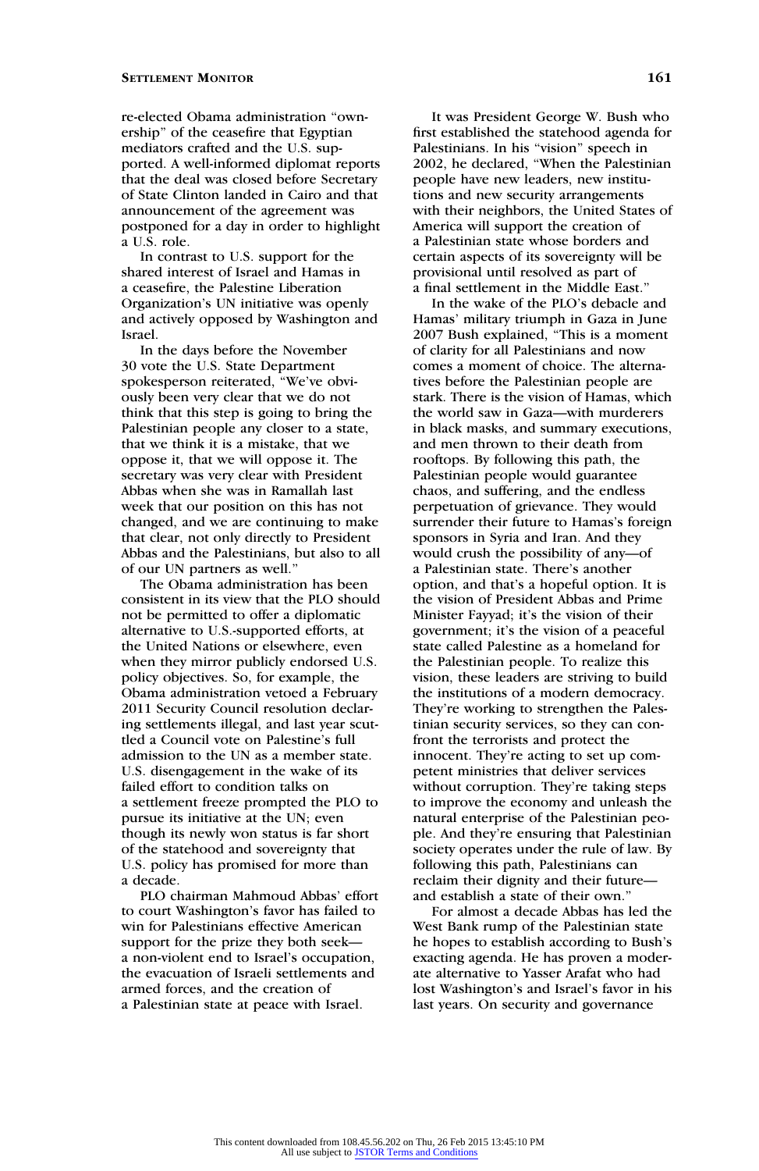re-elected Obama administration ''ownership'' of the ceasefire that Egyptian mediators crafted and the U.S. supported. A well-informed diplomat reports that the deal was closed before Secretary of State Clinton landed in Cairo and that announcement of the agreement was postponed for a day in order to highlight a U.S. role.

In contrast to U.S. support for the shared interest of Israel and Hamas in a ceasefire, the Palestine Liberation Organization's UN initiative was openly and actively opposed by Washington and Israel.

In the days before the November 30 vote the U.S. State Department spokesperson reiterated, ''We've obviously been very clear that we do not think that this step is going to bring the Palestinian people any closer to a state, that we think it is a mistake, that we oppose it, that we will oppose it. The secretary was very clear with President Abbas when she was in Ramallah last week that our position on this has not changed, and we are continuing to make that clear, not only directly to President Abbas and the Palestinians, but also to all of our UN partners as well.''

The Obama administration has been consistent in its view that the PLO should not be permitted to offer a diplomatic alternative to U.S.-supported efforts, at the United Nations or elsewhere, even when they mirror publicly endorsed U.S. policy objectives. So, for example, the Obama administration vetoed a February 2011 Security Council resolution declaring settlements illegal, and last year scuttled a Council vote on Palestine's full admission to the UN as a member state. U.S. disengagement in the wake of its failed effort to condition talks on a settlement freeze prompted the PLO to pursue its initiative at the UN; even though its newly won status is far short of the statehood and sovereignty that U.S. policy has promised for more than a decade.

PLO chairman Mahmoud Abbas' effort to court Washington's favor has failed to win for Palestinians effective American support for the prize they both seek a non-violent end to Israel's occupation, the evacuation of Israeli settlements and armed forces, and the creation of a Palestinian state at peace with Israel.

It was President George W. Bush who first established the statehood agenda for Palestinians. In his "vision" speech in 2002, he declared, ''When the Palestinian people have new leaders, new institutions and new security arrangements with their neighbors, the United States of America will support the creation of a Palestinian state whose borders and certain aspects of its sovereignty will be provisional until resolved as part of a final settlement in the Middle East.''

In the wake of the PLO's debacle and Hamas' military triumph in Gaza in June 2007 Bush explained, ''This is a moment of clarity for all Palestinians and now comes a moment of choice. The alternatives before the Palestinian people are stark. There is the vision of Hamas, which the world saw in Gaza—with murderers in black masks, and summary executions, and men thrown to their death from rooftops. By following this path, the Palestinian people would guarantee chaos, and suffering, and the endless perpetuation of grievance. They would surrender their future to Hamas's foreign sponsors in Syria and Iran. And they would crush the possibility of any—of a Palestinian state. There's another option, and that's a hopeful option. It is the vision of President Abbas and Prime Minister Fayyad; it's the vision of their government; it's the vision of a peaceful state called Palestine as a homeland for the Palestinian people. To realize this vision, these leaders are striving to build the institutions of a modern democracy. They're working to strengthen the Palestinian security services, so they can confront the terrorists and protect the innocent. They're acting to set up competent ministries that deliver services without corruption. They're taking steps to improve the economy and unleash the natural enterprise of the Palestinian people. And they're ensuring that Palestinian society operates under the rule of law. By following this path, Palestinians can reclaim their dignity and their future and establish a state of their own.''

For almost a decade Abbas has led the West Bank rump of the Palestinian state he hopes to establish according to Bush's exacting agenda. He has proven a moderate alternative to Yasser Arafat who had lost Washington's and Israel's favor in his last years. On security and governance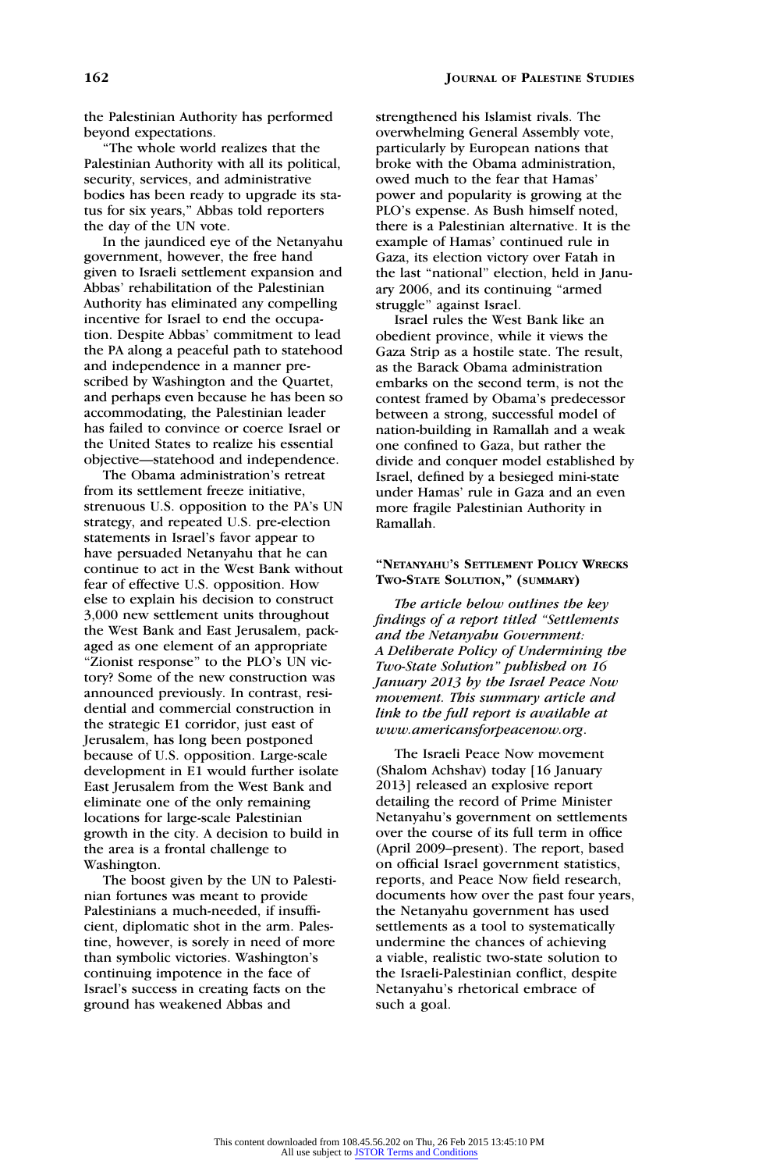the Palestinian Authority has performed beyond expectations.

''The whole world realizes that the Palestinian Authority with all its political, security, services, and administrative bodies has been ready to upgrade its status for six years,'' Abbas told reporters the day of the UN vote.

In the jaundiced eye of the Netanyahu government, however, the free hand given to Israeli settlement expansion and Abbas' rehabilitation of the Palestinian Authority has eliminated any compelling incentive for Israel to end the occupation. Despite Abbas' commitment to lead the PA along a peaceful path to statehood and independence in a manner prescribed by Washington and the Quartet, and perhaps even because he has been so accommodating, the Palestinian leader has failed to convince or coerce Israel or the United States to realize his essential objective—statehood and independence.

The Obama administration's retreat from its settlement freeze initiative, strenuous U.S. opposition to the PA's UN strategy, and repeated U.S. pre-election statements in Israel's favor appear to have persuaded Netanyahu that he can continue to act in the West Bank without fear of effective U.S. opposition. How else to explain his decision to construct 3,000 new settlement units throughout the West Bank and East Jerusalem, packaged as one element of an appropriate ''Zionist response'' to the PLO's UN victory? Some of the new construction was announced previously. In contrast, residential and commercial construction in the strategic E1 corridor, just east of Jerusalem, has long been postponed because of U.S. opposition. Large-scale development in E1 would further isolate East Jerusalem from the West Bank and eliminate one of the only remaining locations for large-scale Palestinian growth in the city. A decision to build in the area is a frontal challenge to Washington.

The boost given by the UN to Palestinian fortunes was meant to provide Palestinians a much-needed, if insufficient, diplomatic shot in the arm. Palestine, however, is sorely in need of more than symbolic victories. Washington's continuing impotence in the face of Israel's success in creating facts on the ground has weakened Abbas and

strengthened his Islamist rivals. The overwhelming General Assembly vote, particularly by European nations that broke with the Obama administration, owed much to the fear that Hamas' power and popularity is growing at the PLO's expense. As Bush himself noted, there is a Palestinian alternative. It is the example of Hamas' continued rule in Gaza, its election victory over Fatah in the last ''national'' election, held in January 2006, and its continuing ''armed struggle'' against Israel.

Israel rules the West Bank like an obedient province, while it views the Gaza Strip as a hostile state. The result, as the Barack Obama administration embarks on the second term, is not the contest framed by Obama's predecessor between a strong, successful model of nation-building in Ramallah and a weak one confined to Gaza, but rather the divide and conquer model established by Israel, defined by a besieged mini-state under Hamas' rule in Gaza and an even more fragile Palestinian Authority in Ramallah.

## ''NETANYAHU'S SETTLEMENT POLICY WRECKS TWO-STATE SOLUTION,'' (SUMMARY)

The article below outlines the key findings of a report titled ''Settlements and the Netanyahu Government: A Deliberate Policy of Undermining the Two-State Solution'' published on 16 January 2013 by the Israel Peace Now movement. This summary article and link to the full report is available at www.americansforpeacenow.org.

The Israeli Peace Now movement (Shalom Achshav) today [16 January 2013] released an explosive report detailing the record of Prime Minister Netanyahu's government on settlements over the course of its full term in office (April 2009–present). The report, based on official Israel government statistics, reports, and Peace Now field research, documents how over the past four years, the Netanyahu government has used settlements as a tool to systematically undermine the chances of achieving a viable, realistic two-state solution to the Israeli-Palestinian conflict, despite Netanyahu's rhetorical embrace of such a goal.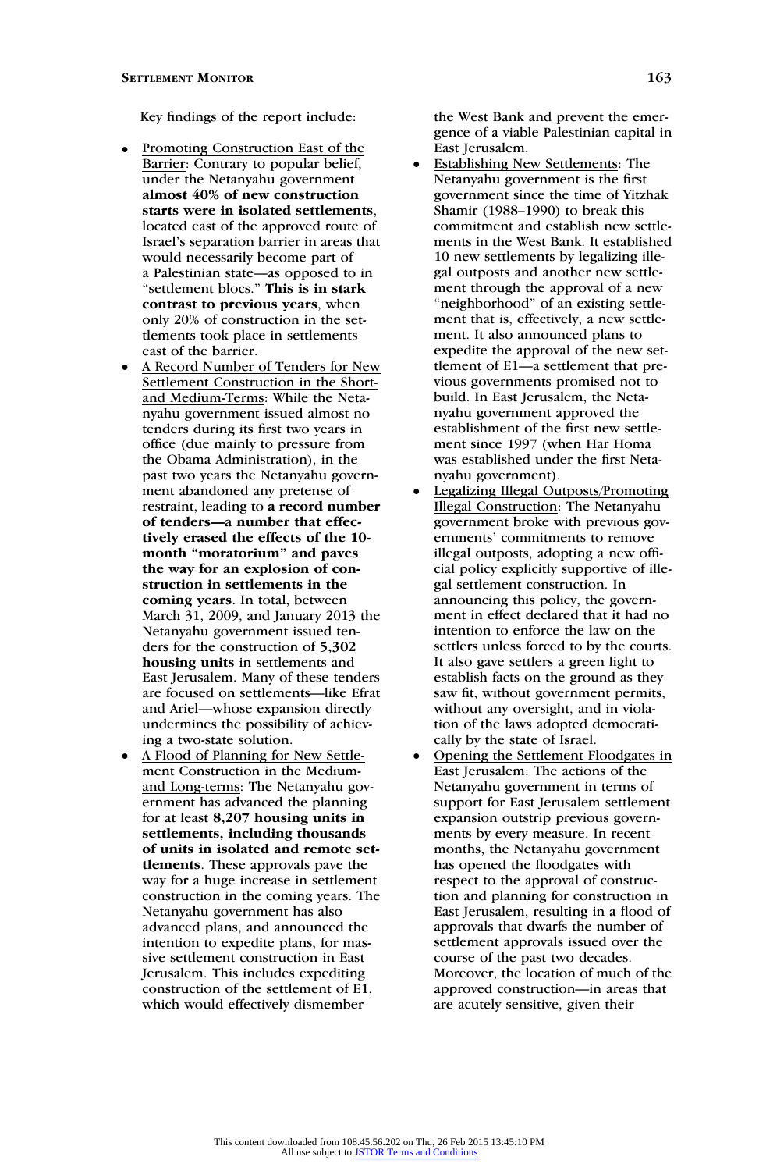Key findings of the report include:

- $\bullet$  Promoting Construction East of the Barrier: Contrary to popular belief, under the Netanyahu government almost 40% of new construction starts were in isolated settlements, located east of the approved route of Israel's separation barrier in areas that would necessarily become part of a Palestinian state—as opposed to in "settlement blocs." This is in stark contrast to previous years, when only 20% of construction in the settlements took place in settlements east of the barrier.
- $\bullet$  A Record Number of Tenders for New Settlement Construction in the Shortand Medium-Terms: While the Netanyahu government issued almost no tenders during its first two years in office (due mainly to pressure from the Obama Administration), in the past two years the Netanyahu government abandoned any pretense of restraint, leading to a record number of tenders—a number that effectively erased the effects of the 10 month "moratorium" and paves the way for an explosion of construction in settlements in the coming years. In total, between March 31, 2009, and January 2013 the Netanyahu government issued tenders for the construction of 5,302 housing units in settlements and East Jerusalem. Many of these tenders are focused on settlements—like Efrat and Ariel—whose expansion directly undermines the possibility of achieving a two-state solution.
- $\bullet$  A Flood of Planning for New Settlement Construction in the Mediumand Long-terms: The Netanyahu government has advanced the planning for at least 8,207 housing units in settlements, including thousands of units in isolated and remote settlements. These approvals pave the way for a huge increase in settlement construction in the coming years. The Netanyahu government has also advanced plans, and announced the intention to expedite plans, for massive settlement construction in East Jerusalem. This includes expediting construction of the settlement of E1, which would effectively dismember

the West Bank and prevent the emergence of a viable Palestinian capital in East Jerusalem.

- $\bullet$  Establishing New Settlements: The Netanyahu government is the first government since the time of Yitzhak Shamir (1988–1990) to break this commitment and establish new settlements in the West Bank. It established 10 new settlements by legalizing illegal outposts and another new settlement through the approval of a new "neighborhood" of an existing settlement that is, effectively, a new settlement. It also announced plans to expedite the approval of the new settlement of E1—a settlement that previous governments promised not to build. In East Jerusalem, the Netanyahu government approved the establishment of the first new settlement since 1997 (when Har Homa was established under the first Netanyahu government).
- $\bullet$  Legalizing Illegal Outposts/Promoting Illegal Construction: The Netanyahu government broke with previous governments' commitments to remove illegal outposts, adopting a new official policy explicitly supportive of illegal settlement construction. In announcing this policy, the government in effect declared that it had no intention to enforce the law on the settlers unless forced to by the courts. It also gave settlers a green light to establish facts on the ground as they saw fit, without government permits, without any oversight, and in violation of the laws adopted democratically by the state of Israel.
- $\bullet$  Opening the Settlement Floodgates in East Jerusalem: The actions of the Netanyahu government in terms of support for East Jerusalem settlement expansion outstrip previous governments by every measure. In recent months, the Netanyahu government has opened the floodgates with respect to the approval of construction and planning for construction in East Jerusalem, resulting in a flood of approvals that dwarfs the number of settlement approvals issued over the course of the past two decades. Moreover, the location of much of the approved construction—in areas that are acutely sensitive, given their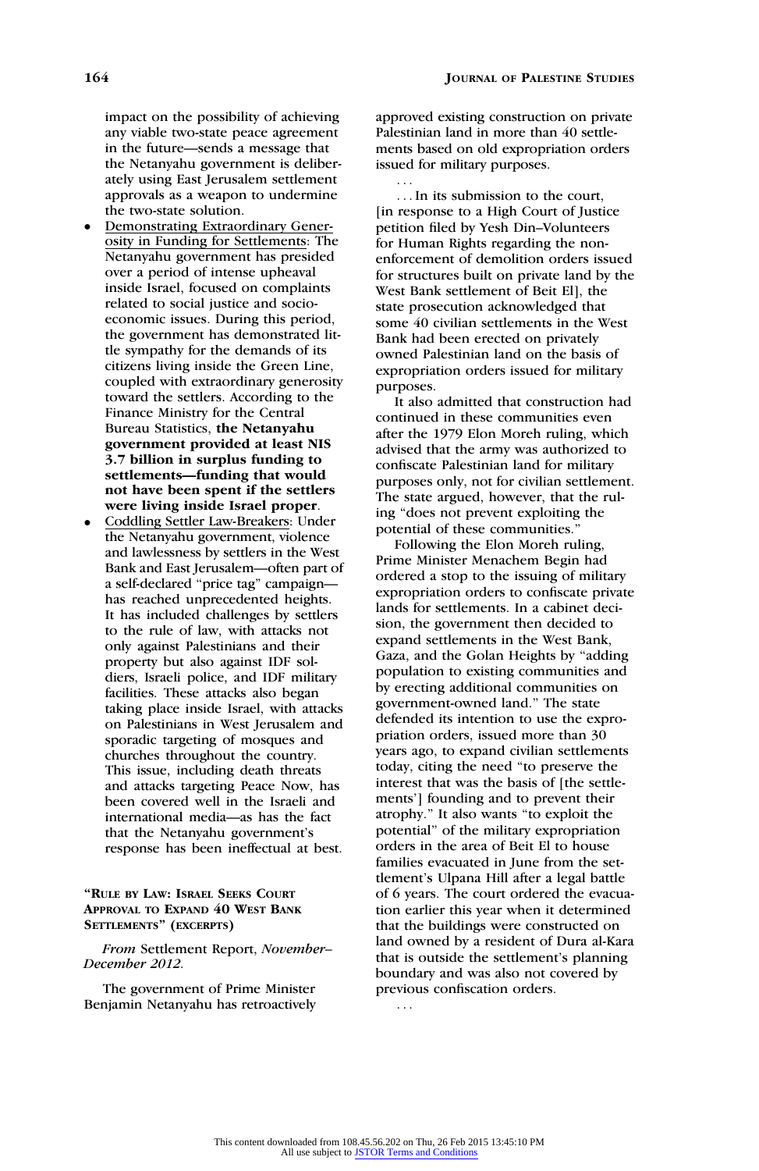impact on the possibility of achieving any viable two-state peace agreement in the future—sends a message that the Netanyahu government is deliberately using East Jerusalem settlement approvals as a weapon to undermine the two-state solution.

- $\bullet$  Demonstrating Extraordinary Generosity in Funding for Settlements: The Netanyahu government has presided over a period of intense upheaval inside Israel, focused on complaints related to social justice and socioeconomic issues. During this period, the government has demonstrated little sympathy for the demands of its citizens living inside the Green Line, coupled with extraordinary generosity toward the settlers. According to the Finance Ministry for the Central Bureau Statistics, the Netanyahu government provided at least NIS 3.7 billion in surplus funding to settlements—funding that would not have been spent if the settlers were living inside Israel proper.
- Coddling Settler Law-Breakers: Under the Netanyahu government, violence and lawlessness by settlers in the West Bank and East Jerusalem—often part of a self-declared ''price tag'' campaign has reached unprecedented heights. It has included challenges by settlers to the rule of law, with attacks not only against Palestinians and their property but also against IDF soldiers, Israeli police, and IDF military facilities. These attacks also began taking place inside Israel, with attacks on Palestinians in West Jerusalem and sporadic targeting of mosques and churches throughout the country. This issue, including death threats and attacks targeting Peace Now, has been covered well in the Israeli and international media—as has the fact that the Netanyahu government's response has been ineffectual at best.

## ''RULE BY LAW: ISRAEL SEEKS COURT APPROVAL TO EXPAND 40 WEST BANK SETTLEMENTS'' (EXCERPTS)

## From Settlement Report, November– December 2012.

The government of Prime Minister Benjamin Netanyahu has retroactively approved existing construction on private Palestinian land in more than 40 settlements based on old expropriation orders issued for military purposes.

...

... In its submission to the court, [in response to a High Court of Justice petition filed by Yesh Din–Volunteers for Human Rights regarding the nonenforcement of demolition orders issued for structures built on private land by the West Bank settlement of Beit El], the state prosecution acknowledged that some 40 civilian settlements in the West Bank had been erected on privately owned Palestinian land on the basis of expropriation orders issued for military purposes.

It also admitted that construction had continued in these communities even after the 1979 Elon Moreh ruling, which advised that the army was authorized to confiscate Palestinian land for military purposes only, not for civilian settlement. The state argued, however, that the ruling ''does not prevent exploiting the potential of these communities.

Following the Elon Moreh ruling, Prime Minister Menachem Begin had ordered a stop to the issuing of military expropriation orders to confiscate private lands for settlements. In a cabinet decision, the government then decided to expand settlements in the West Bank, Gaza, and the Golan Heights by ''adding population to existing communities and by erecting additional communities on government-owned land.'' The state defended its intention to use the expropriation orders, issued more than 30 years ago, to expand civilian settlements today, citing the need ''to preserve the interest that was the basis of [the settlements'] founding and to prevent their atrophy.'' It also wants ''to exploit the potential'' of the military expropriation orders in the area of Beit El to house families evacuated in June from the settlement's Ulpana Hill after a legal battle of 6 years. The court ordered the evacuation earlier this year when it determined that the buildings were constructed on land owned by a resident of Dura al-Kara that is outside the settlement's planning boundary and was also not covered by previous confiscation orders.

...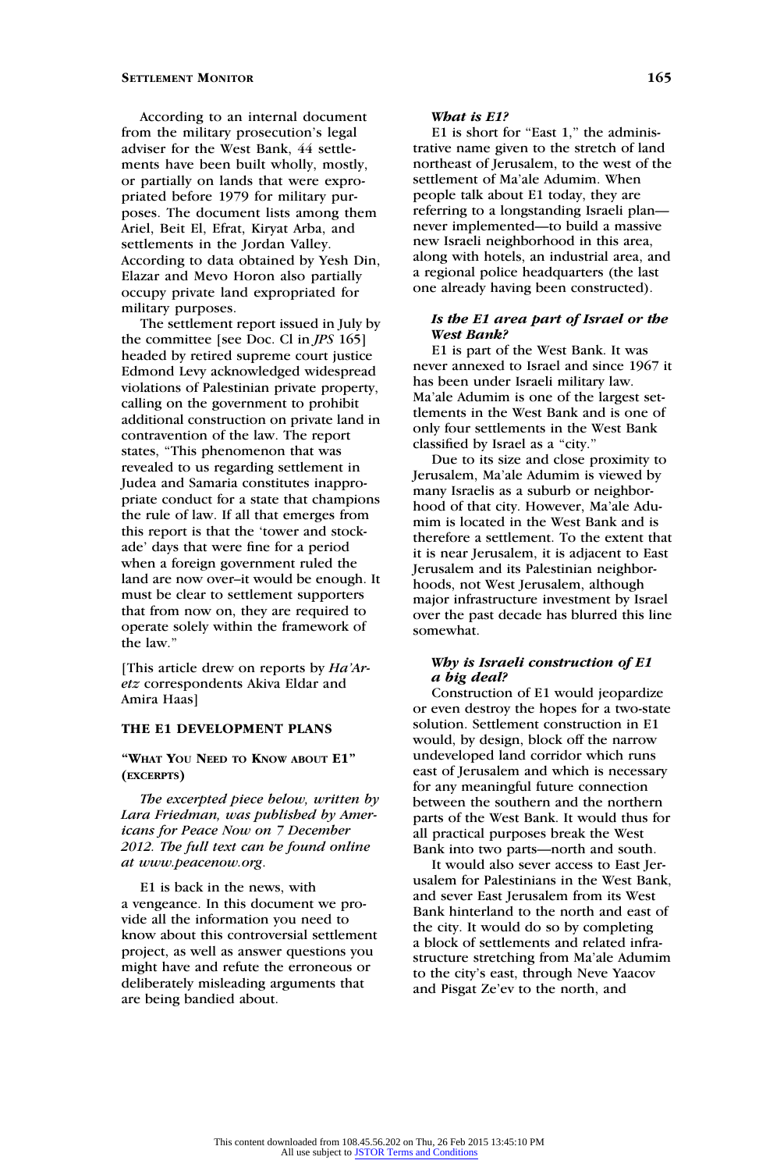According to an internal document from the military prosecution's legal adviser for the West Bank, 44 settlements have been built wholly, mostly, or partially on lands that were expropriated before 1979 for military purposes. The document lists among them Ariel, Beit El, Efrat, Kiryat Arba, and settlements in the Jordan Valley. According to data obtained by Yesh Din, Elazar and Mevo Horon also partially occupy private land expropriated for military purposes.

The settlement report issued in July by the committee [see Doc. Cl in JPS 165] headed by retired supreme court justice Edmond Levy acknowledged widespread violations of Palestinian private property, calling on the government to prohibit additional construction on private land in contravention of the law. The report states, ''This phenomenon that was revealed to us regarding settlement in Judea and Samaria constitutes inappropriate conduct for a state that champions the rule of law. If all that emerges from this report is that the 'tower and stockade' days that were fine for a period when a foreign government ruled the land are now over–it would be enough. It must be clear to settlement supporters that from now on, they are required to operate solely within the framework of the law.''

[This article drew on reports by Ha'Aretz correspondents Akiva Eldar and Amira Haas]

## THE E1 DEVELOPMENT PLANS

## ''WHAT YOU NEED TO KNOW ABOUT E1'' (EXCERPTS)

The excerpted piece below, written by Lara Friedman, was published by Americans for Peace Now on 7 December 2012. The full text can be found online at www.peacenow.org.

E1 is back in the news, with a vengeance. In this document we provide all the information you need to know about this controversial settlement project, as well as answer questions you might have and refute the erroneous or deliberately misleading arguments that are being bandied about.

#### What is E1?

E1 is short for "East 1," the administrative name given to the stretch of land northeast of Jerusalem, to the west of the settlement of Ma'ale Adumim. When people talk about E1 today, they are referring to a longstanding Israeli plan never implemented—to build a massive new Israeli neighborhood in this area, along with hotels, an industrial area, and a regional police headquarters (the last one already having been constructed).

## Is the E1 area part of Israel or the West Bank?

E1 is part of the West Bank. It was never annexed to Israel and since 1967 it has been under Israeli military law. Ma'ale Adumim is one of the largest settlements in the West Bank and is one of only four settlements in the West Bank classified by Israel as a ''city.''

Due to its size and close proximity to Jerusalem, Ma'ale Adumim is viewed by many Israelis as a suburb or neighborhood of that city. However, Ma'ale Adumim is located in the West Bank and is therefore a settlement. To the extent that it is near Jerusalem, it is adjacent to East Jerusalem and its Palestinian neighborhoods, not West Jerusalem, although major infrastructure investment by Israel over the past decade has blurred this line somewhat.

## Why is Israeli construction of E1 a big deal?

Construction of E1 would jeopardize or even destroy the hopes for a two-state solution. Settlement construction in E1 would, by design, block off the narrow undeveloped land corridor which runs east of Jerusalem and which is necessary for any meaningful future connection between the southern and the northern parts of the West Bank. It would thus for all practical purposes break the West Bank into two parts—north and south.

It would also sever access to East Jerusalem for Palestinians in the West Bank, and sever East Jerusalem from its West Bank hinterland to the north and east of the city. It would do so by completing a block of settlements and related infrastructure stretching from Ma'ale Adumim to the city's east, through Neve Yaacov and Pisgat Ze'ev to the north, and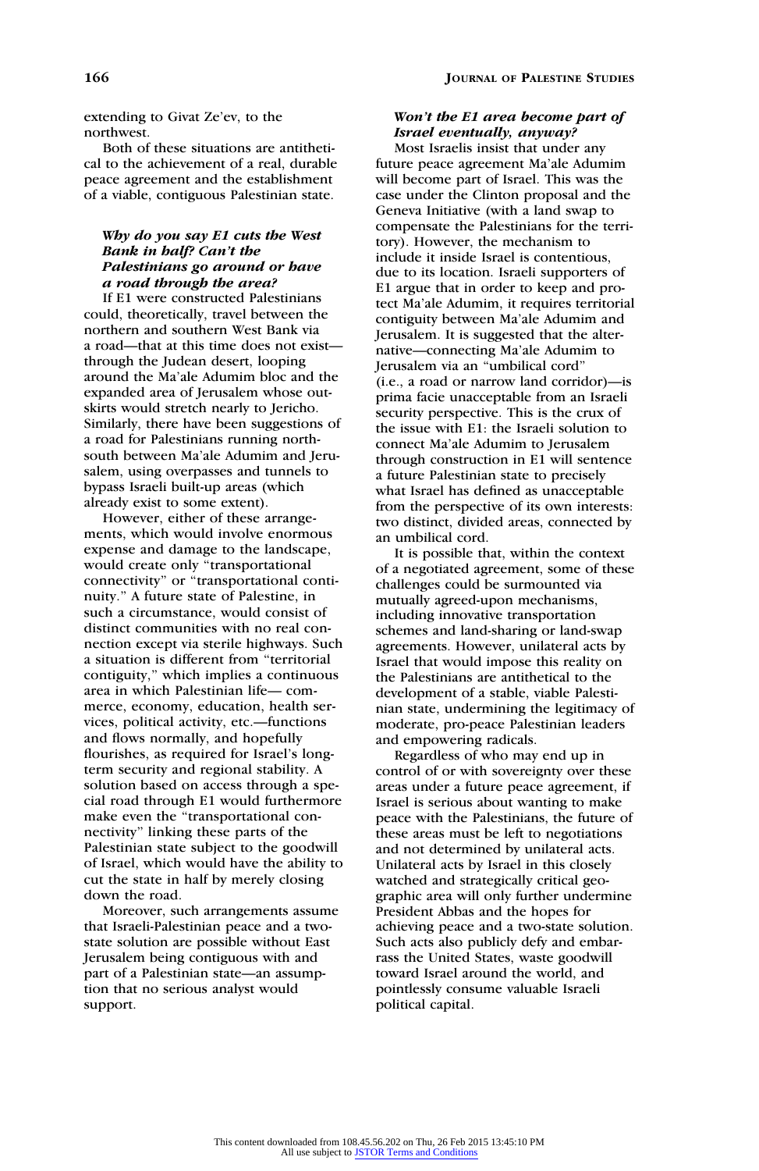extending to Givat Ze'ev, to the northwest.

Both of these situations are antithetical to the achievement of a real, durable peace agreement and the establishment of a viable, contiguous Palestinian state.

## Why do you say E1 cuts the West Bank in half? Can't the Palestinians go around or have a road through the area?

If E1 were constructed Palestinians could, theoretically, travel between the northern and southern West Bank via a road—that at this time does not exist through the Judean desert, looping around the Ma'ale Adumim bloc and the expanded area of Jerusalem whose outskirts would stretch nearly to Jericho. Similarly, there have been suggestions of a road for Palestinians running northsouth between Ma'ale Adumim and Jerusalem, using overpasses and tunnels to bypass Israeli built-up areas (which already exist to some extent).

However, either of these arrangements, which would involve enormous expense and damage to the landscape, would create only ''transportational connectivity'' or ''transportational continuity.'' A future state of Palestine, in such a circumstance, would consist of distinct communities with no real connection except via sterile highways. Such a situation is different from ''territorial contiguity,'' which implies a continuous area in which Palestinian life— commerce, economy, education, health services, political activity, etc.—functions and flows normally, and hopefully flourishes, as required for Israel's longterm security and regional stability. A solution based on access through a special road through E1 would furthermore make even the ''transportational connectivity'' linking these parts of the Palestinian state subject to the goodwill of Israel, which would have the ability to cut the state in half by merely closing down the road.

Moreover, such arrangements assume that Israeli-Palestinian peace and a twostate solution are possible without East Jerusalem being contiguous with and part of a Palestinian state—an assumption that no serious analyst would support.

## Won't the E1 area become part of Israel eventually, anyway?

Most Israelis insist that under any future peace agreement Ma'ale Adumim will become part of Israel. This was the case under the Clinton proposal and the Geneva Initiative (with a land swap to compensate the Palestinians for the territory). However, the mechanism to include it inside Israel is contentious, due to its location. Israeli supporters of E1 argue that in order to keep and protect Ma'ale Adumim, it requires territorial contiguity between Ma'ale Adumim and Jerusalem. It is suggested that the alternative—connecting Ma'ale Adumim to Jerusalem via an ''umbilical cord'' (i.e., a road or narrow land corridor)—is prima facie unacceptable from an Israeli security perspective. This is the crux of the issue with E1: the Israeli solution to connect Ma'ale Adumim to Jerusalem through construction in E1 will sentence a future Palestinian state to precisely what Israel has defined as unacceptable from the perspective of its own interests: two distinct, divided areas, connected by an umbilical cord.

It is possible that, within the context of a negotiated agreement, some of these challenges could be surmounted via mutually agreed-upon mechanisms, including innovative transportation schemes and land-sharing or land-swap agreements. However, unilateral acts by Israel that would impose this reality on the Palestinians are antithetical to the development of a stable, viable Palestinian state, undermining the legitimacy of moderate, pro-peace Palestinian leaders and empowering radicals.

Regardless of who may end up in control of or with sovereignty over these areas under a future peace agreement, if Israel is serious about wanting to make peace with the Palestinians, the future of these areas must be left to negotiations and not determined by unilateral acts. Unilateral acts by Israel in this closely watched and strategically critical geographic area will only further undermine President Abbas and the hopes for achieving peace and a two-state solution. Such acts also publicly defy and embarrass the United States, waste goodwill toward Israel around the world, and pointlessly consume valuable Israeli political capital.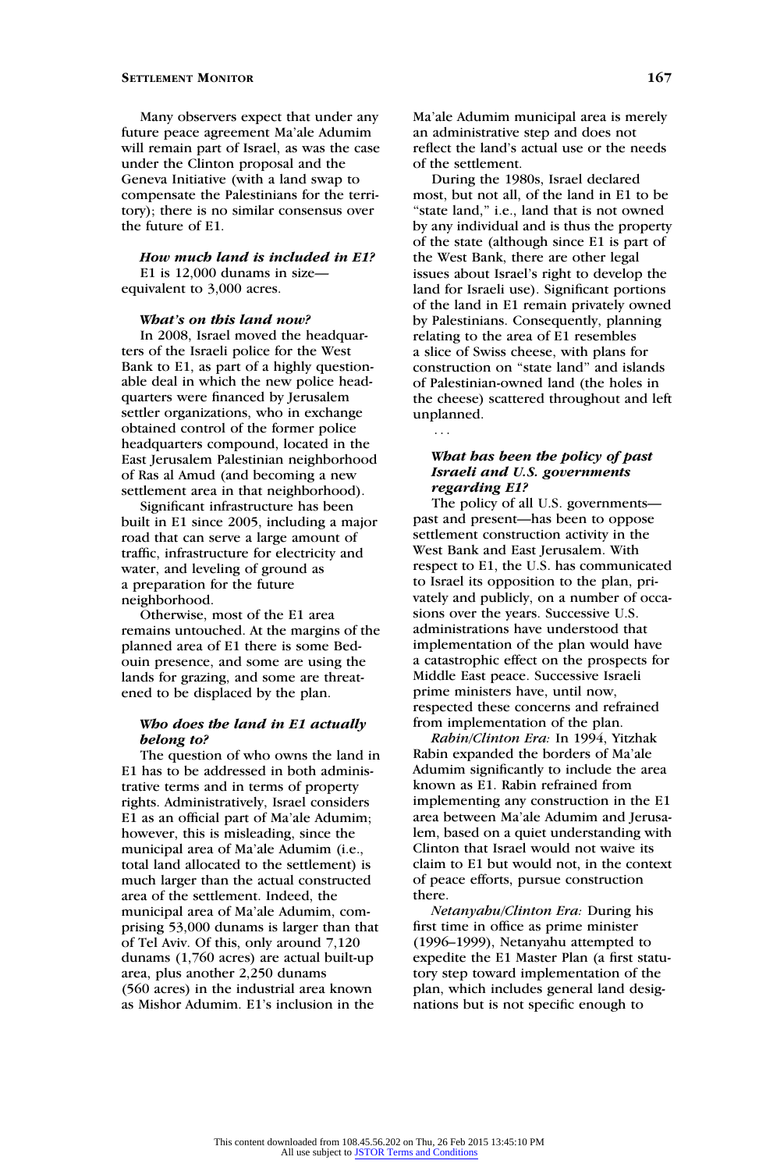Many observers expect that under any future peace agreement Ma'ale Adumim will remain part of Israel, as was the case under the Clinton proposal and the Geneva Initiative (with a land swap to compensate the Palestinians for the territory); there is no similar consensus over the future of E1.

How much land is included in E1? E1 is 12,000 dunams in size equivalent to 3,000 acres.

#### What's on this land now?

In 2008, Israel moved the headquarters of the Israeli police for the West Bank to E1, as part of a highly questionable deal in which the new police headquarters were financed by Jerusalem settler organizations, who in exchange obtained control of the former police headquarters compound, located in the East Jerusalem Palestinian neighborhood of Ras al Amud (and becoming a new settlement area in that neighborhood).

Significant infrastructure has been built in E1 since 2005, including a major road that can serve a large amount of traffic, infrastructure for electricity and water, and leveling of ground as a preparation for the future neighborhood.

Otherwise, most of the E1 area remains untouched. At the margins of the planned area of E1 there is some Bedouin presence, and some are using the lands for grazing, and some are threatened to be displaced by the plan.

#### Who does the land in E1 actually belong to?

The question of who owns the land in E1 has to be addressed in both administrative terms and in terms of property rights. Administratively, Israel considers E1 as an official part of Ma'ale Adumim; however, this is misleading, since the municipal area of Ma'ale Adumim (i.e., total land allocated to the settlement) is much larger than the actual constructed area of the settlement. Indeed, the municipal area of Ma'ale Adumim, comprising 53,000 dunams is larger than that of Tel Aviv. Of this, only around 7,120 dunams (1,760 acres) are actual built-up area, plus another 2,250 dunams (560 acres) in the industrial area known as Mishor Adumim. E1's inclusion in the

Ma'ale Adumim municipal area is merely an administrative step and does not reflect the land's actual use or the needs of the settlement.

During the 1980s, Israel declared most, but not all, of the land in E1 to be "state land," i.e., land that is not owned by any individual and is thus the property of the state (although since E1 is part of the West Bank, there are other legal issues about Israel's right to develop the land for Israeli use). Significant portions of the land in E1 remain privately owned by Palestinians. Consequently, planning relating to the area of E1 resembles a slice of Swiss cheese, with plans for construction on ''state land'' and islands of Palestinian-owned land (the holes in the cheese) scattered throughout and left unplanned.

## What has been the policy of past Israeli and U.S. governments regarding E1?

The policy of all U.S. governments past and present—has been to oppose settlement construction activity in the West Bank and East Jerusalem. With respect to E1, the U.S. has communicated to Israel its opposition to the plan, privately and publicly, on a number of occasions over the years. Successive U.S. administrations have understood that implementation of the plan would have a catastrophic effect on the prospects for Middle East peace. Successive Israeli prime ministers have, until now, respected these concerns and refrained from implementation of the plan.

Rabin/Clinton Era: In 1994, Yitzhak Rabin expanded the borders of Ma'ale Adumim significantly to include the area known as E1. Rabin refrained from implementing any construction in the E1 area between Ma'ale Adumim and Jerusalem, based on a quiet understanding with Clinton that Israel would not waive its claim to E1 but would not, in the context of peace efforts, pursue construction there.

Netanyahu/Clinton Era: During his first time in office as prime minister (1996–1999), Netanyahu attempted to expedite the E1 Master Plan (a first statutory step toward implementation of the plan, which includes general land designations but is not specific enough to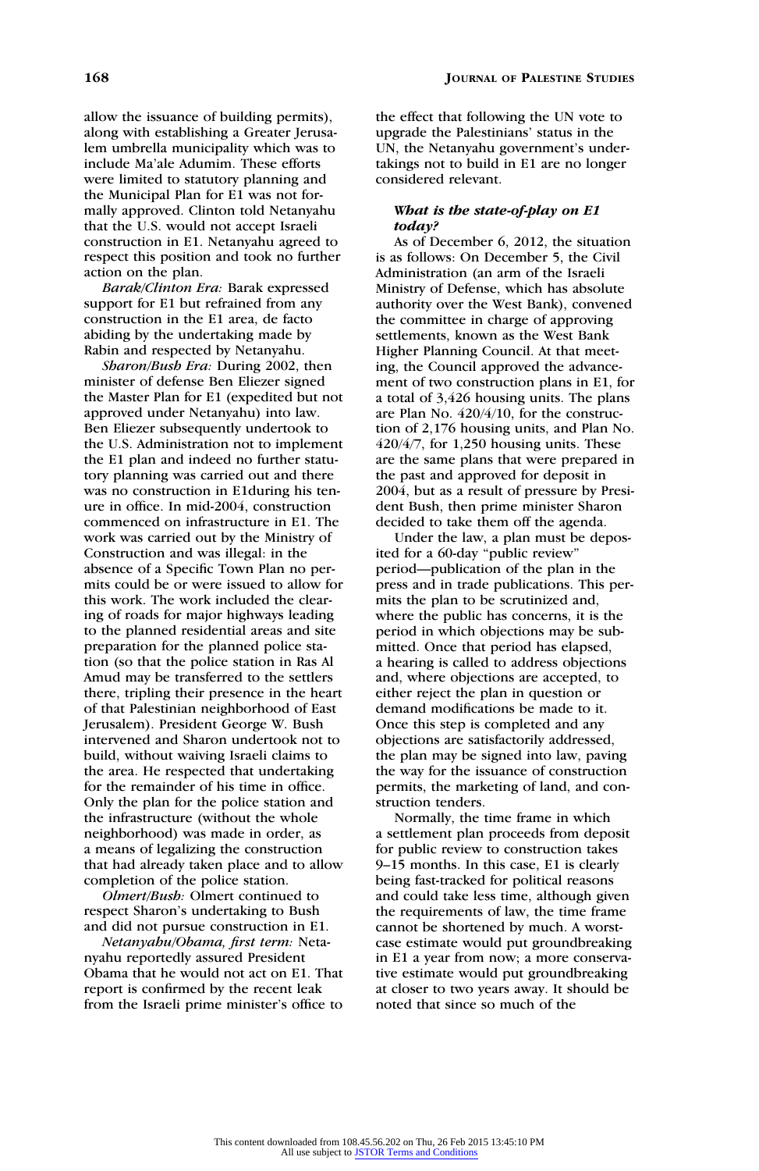allow the issuance of building permits), along with establishing a Greater Jerusalem umbrella municipality which was to include Ma'ale Adumim. These efforts were limited to statutory planning and the Municipal Plan for E1 was not formally approved. Clinton told Netanyahu that the U.S. would not accept Israeli construction in E1. Netanyahu agreed to respect this position and took no further action on the plan.

Barak/Clinton Era: Barak expressed support for E1 but refrained from any construction in the E1 area, de facto abiding by the undertaking made by Rabin and respected by Netanyahu.

Sharon/Bush Era: During 2002, then minister of defense Ben Eliezer signed the Master Plan for E1 (expedited but not approved under Netanyahu) into law. Ben Eliezer subsequently undertook to the U.S. Administration not to implement the E1 plan and indeed no further statutory planning was carried out and there was no construction in E1during his tenure in office. In mid-2004, construction commenced on infrastructure in E1. The work was carried out by the Ministry of Construction and was illegal: in the absence of a Specific Town Plan no permits could be or were issued to allow for this work. The work included the clearing of roads for major highways leading to the planned residential areas and site preparation for the planned police station (so that the police station in Ras Al Amud may be transferred to the settlers there, tripling their presence in the heart of that Palestinian neighborhood of East Jerusalem). President George W. Bush intervened and Sharon undertook not to build, without waiving Israeli claims to the area. He respected that undertaking for the remainder of his time in office. Only the plan for the police station and the infrastructure (without the whole neighborhood) was made in order, as a means of legalizing the construction that had already taken place and to allow completion of the police station.

Olmert/Bush: Olmert continued to respect Sharon's undertaking to Bush and did not pursue construction in E1.

Netanyahu/Obama, first term: Netanyahu reportedly assured President Obama that he would not act on E1. That report is confirmed by the recent leak from the Israeli prime minister's office to the effect that following the UN vote to upgrade the Palestinians' status in the UN, the Netanyahu government's undertakings not to build in E1 are no longer considered relevant.

## What is the state-of-play on E1 today?

As of December 6, 2012, the situation is as follows: On December 5, the Civil Administration (an arm of the Israeli Ministry of Defense, which has absolute authority over the West Bank), convened the committee in charge of approving settlements, known as the West Bank Higher Planning Council. At that meeting, the Council approved the advancement of two construction plans in E1, for a total of 3,426 housing units. The plans are Plan No. 420/4/10, for the construction of 2,176 housing units, and Plan No. 420/4/7, for 1,250 housing units. These are the same plans that were prepared in the past and approved for deposit in 2004, but as a result of pressure by President Bush, then prime minister Sharon decided to take them off the agenda.

Under the law, a plan must be deposited for a 60-day ''public review'' period—publication of the plan in the press and in trade publications. This permits the plan to be scrutinized and, where the public has concerns, it is the period in which objections may be submitted. Once that period has elapsed, a hearing is called to address objections and, where objections are accepted, to either reject the plan in question or demand modifications be made to it. Once this step is completed and any objections are satisfactorily addressed, the plan may be signed into law, paving the way for the issuance of construction permits, the marketing of land, and construction tenders.

Normally, the time frame in which a settlement plan proceeds from deposit for public review to construction takes 9–15 months. In this case, E1 is clearly being fast-tracked for political reasons and could take less time, although given the requirements of law, the time frame cannot be shortened by much. A worstcase estimate would put groundbreaking in E1 a year from now; a more conservative estimate would put groundbreaking at closer to two years away. It should be noted that since so much of the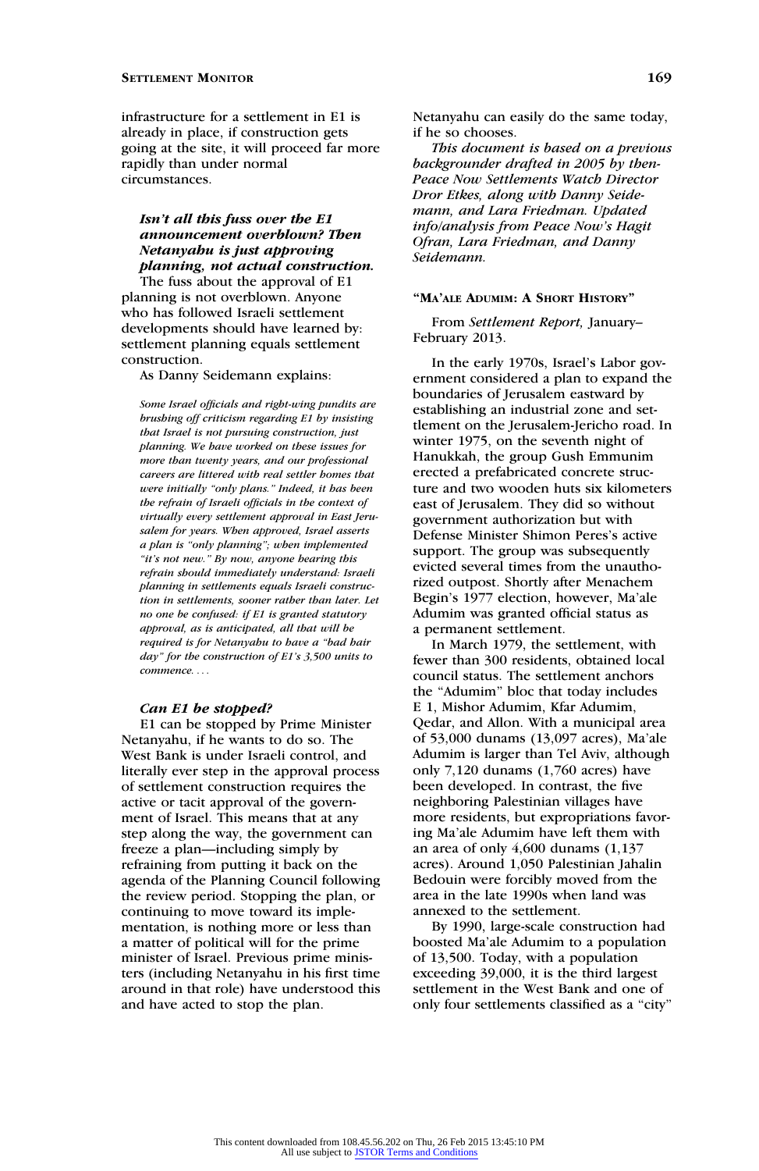infrastructure for a settlement in E1 is already in place, if construction gets going at the site, it will proceed far more rapidly than under normal circumstances.

## Isn't all this fuss over the E1 announcement overblown? Then Netanyahu is just approving planning, not actual construction.

The fuss about the approval of E1 planning is not overblown. Anyone who has followed Israeli settlement developments should have learned by: settlement planning equals settlement construction.

As Danny Seidemann explains:

Some Israel officials and right-wing pundits are brushing off criticism regarding E1 by insisting that Israel is not pursuing construction, just planning. We have worked on these issues for more than twenty years, and our professional careers are littered with real settler homes that were initially ''only plans.'' Indeed, it has been the refrain of Israeli officials in the context of virtually every settlement approval in East Jerusalem for years. When approved, Israel asserts a plan is ''only planning''; when implemented "it's not new." By now, anyone bearing this refrain should immediately understand: Israeli planning in settlements equals Israeli construction in settlements, sooner rather than later. Let no one be confused: if E1 is granted statutory approval, as is anticipated, all that will be required is for Netanyahu to have a ''bad hair day'' for the construction of E1's 3,500 units to commence. ...

#### Can E1 be stopped?

E1 can be stopped by Prime Minister Netanyahu, if he wants to do so. The West Bank is under Israeli control, and literally ever step in the approval process of settlement construction requires the active or tacit approval of the government of Israel. This means that at any step along the way, the government can freeze a plan—including simply by refraining from putting it back on the agenda of the Planning Council following the review period. Stopping the plan, or continuing to move toward its implementation, is nothing more or less than a matter of political will for the prime minister of Israel. Previous prime ministers (including Netanyahu in his first time around in that role) have understood this and have acted to stop the plan.

Netanyahu can easily do the same today, if he so chooses.

This document is based on a previous backgrounder drafted in 2005 by then-Peace Now Settlements Watch Director Dror Etkes, along with Danny Seidemann, and Lara Friedman. Updated info/analysis from Peace Now's Hagit Ofran, Lara Friedman, and Danny Seidemann.

## "MA'ALE ADUMIM: A SHORT HISTORY"

From Settlement Report, January– February 2013.

In the early 1970s, Israel's Labor government considered a plan to expand the boundaries of Jerusalem eastward by establishing an industrial zone and settlement on the Jerusalem-Jericho road. In winter 1975, on the seventh night of Hanukkah, the group Gush Emmunim erected a prefabricated concrete structure and two wooden huts six kilometers east of Jerusalem. They did so without government authorization but with Defense Minister Shimon Peres's active support. The group was subsequently evicted several times from the unauthorized outpost. Shortly after Menachem Begin's 1977 election, however, Ma'ale Adumim was granted official status as a permanent settlement.

In March 1979, the settlement, with fewer than 300 residents, obtained local council status. The settlement anchors the ''Adumim'' bloc that today includes E 1, Mishor Adumim, Kfar Adumim, Qedar, and Allon. With a municipal area of 53,000 dunams (13,097 acres), Ma'ale Adumim is larger than Tel Aviv, although only 7,120 dunams (1,760 acres) have been developed. In contrast, the five neighboring Palestinian villages have more residents, but expropriations favoring Ma'ale Adumim have left them with an area of only 4,600 dunams (1,137 acres). Around 1,050 Palestinian Jahalin Bedouin were forcibly moved from the area in the late 1990s when land was annexed to the settlement.

By 1990, large-scale construction had boosted Ma'ale Adumim to a population of 13,500. Today, with a population exceeding 39,000, it is the third largest settlement in the West Bank and one of only four settlements classified as a ''city''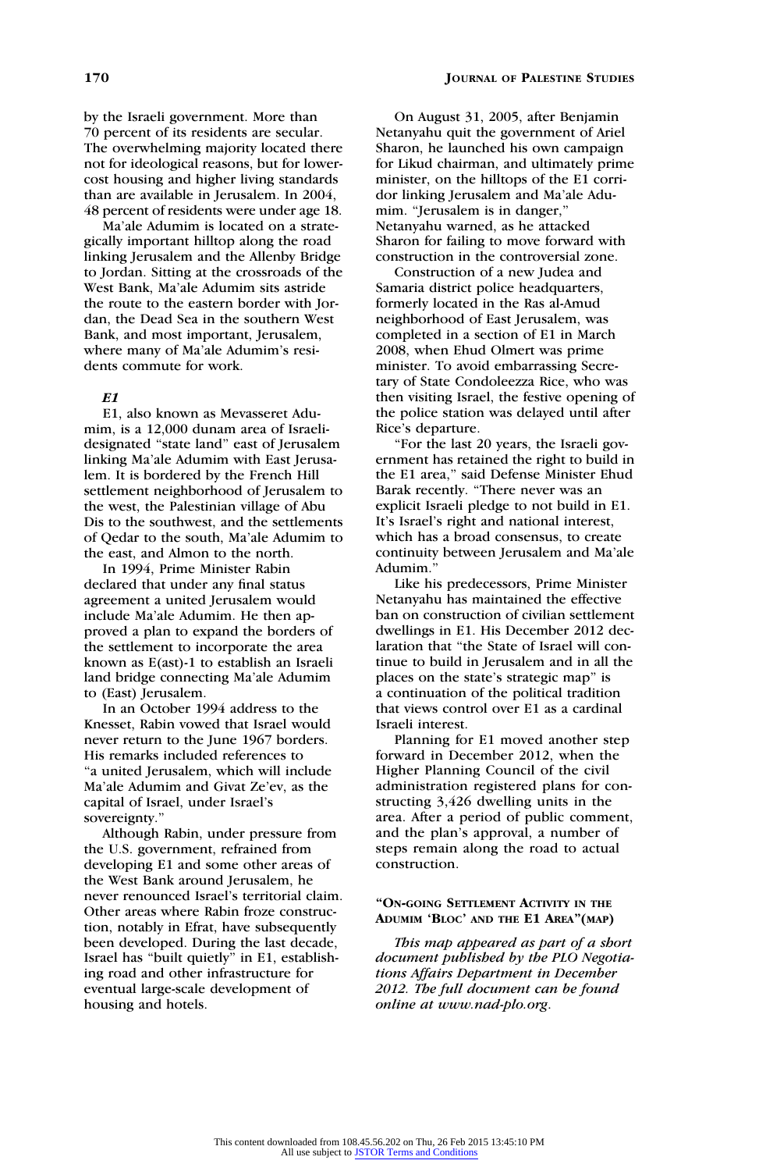by the Israeli government. More than 70 percent of its residents are secular. The overwhelming majority located there not for ideological reasons, but for lowercost housing and higher living standards than are available in Jerusalem. In 2004, 48 percent of residents were under age 18.

Ma'ale Adumim is located on a strategically important hilltop along the road linking Jerusalem and the Allenby Bridge to Jordan. Sitting at the crossroads of the West Bank, Ma'ale Adumim sits astride the route to the eastern border with Jordan, the Dead Sea in the southern West Bank, and most important, Jerusalem, where many of Ma'ale Adumim's residents commute for work.

### $E1$

E1, also known as Mevasseret Adumim, is a 12,000 dunam area of Israelidesignated ''state land'' east of Jerusalem linking Ma'ale Adumim with East Jerusalem. It is bordered by the French Hill settlement neighborhood of Jerusalem to the west, the Palestinian village of Abu Dis to the southwest, and the settlements of Qedar to the south, Ma'ale Adumim to the east, and Almon to the north.

In 1994, Prime Minister Rabin declared that under any final status agreement a united Jerusalem would include Ma'ale Adumim. He then approved a plan to expand the borders of the settlement to incorporate the area known as E(ast)-1 to establish an Israeli land bridge connecting Ma'ale Adumim to (East) Jerusalem.

In an October 1994 address to the Knesset, Rabin vowed that Israel would never return to the June 1967 borders. His remarks included references to ''a united Jerusalem, which will include Ma'ale Adumim and Givat Ze'ev, as the capital of Israel, under Israel's sovereignty.''

Although Rabin, under pressure from the U.S. government, refrained from developing E1 and some other areas of the West Bank around Jerusalem, he never renounced Israel's territorial claim. Other areas where Rabin froze construction, notably in Efrat, have subsequently been developed. During the last decade, Israel has ''built quietly'' in E1, establishing road and other infrastructure for eventual large-scale development of housing and hotels.

On August 31, 2005, after Benjamin Netanyahu quit the government of Ariel Sharon, he launched his own campaign for Likud chairman, and ultimately prime minister, on the hilltops of the E1 corridor linking Jerusalem and Ma'ale Adumim. "Jerusalem is in danger," Netanyahu warned, as he attacked Sharon for failing to move forward with construction in the controversial zone.

Construction of a new Judea and Samaria district police headquarters, formerly located in the Ras al-Amud neighborhood of East Jerusalem, was completed in a section of E1 in March 2008, when Ehud Olmert was prime minister. To avoid embarrassing Secretary of State Condoleezza Rice, who was then visiting Israel, the festive opening of the police station was delayed until after Rice's departure.

''For the last 20 years, the Israeli government has retained the right to build in the E1 area,'' said Defense Minister Ehud Barak recently. ''There never was an explicit Israeli pledge to not build in E1. It's Israel's right and national interest, which has a broad consensus, to create continuity between Jerusalem and Ma'ale Adumim.''

Like his predecessors, Prime Minister Netanyahu has maintained the effective ban on construction of civilian settlement dwellings in E1. His December 2012 declaration that ''the State of Israel will continue to build in Jerusalem and in all the places on the state's strategic map'' is a continuation of the political tradition that views control over E1 as a cardinal Israeli interest.

Planning for E1 moved another step forward in December 2012, when the Higher Planning Council of the civil administration registered plans for constructing 3,426 dwelling units in the area. After a period of public comment, and the plan's approval, a number of steps remain along the road to actual construction.

## ''ON-GOING SETTLEMENT ACTIVITY IN THE ADUMIM 'BLOC' AND THE E1 AREA''(MAP)

This map appeared as part of a short document published by the PLO Negotiations Affairs Department in December 2012. The full document can be found online at www.nad-plo.org.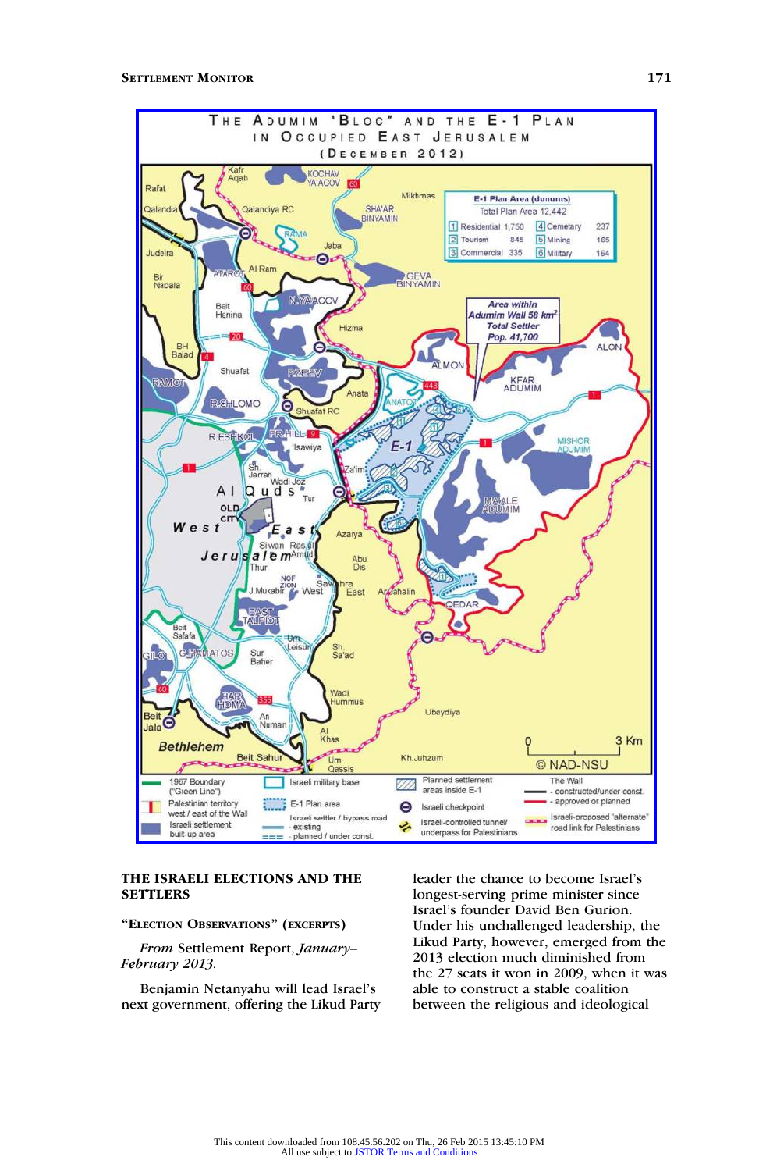

## THE ISRAELI ELECTIONS AND THE **SETTLERS**

#### ''ELECTION OBSERVATIONS'' (EXCERPTS)

From Settlement Report, January-February 2013.

Benjamin Netanyahu will lead Israel's next government, offering the Likud Party leader the chance to become Israel's longest-serving prime minister since Israel's founder David Ben Gurion. Under his unchallenged leadership, the Likud Party, however, emerged from the 2013 election much diminished from the 27 seats it won in 2009, when it was able to construct a stable coalition between the religious and ideological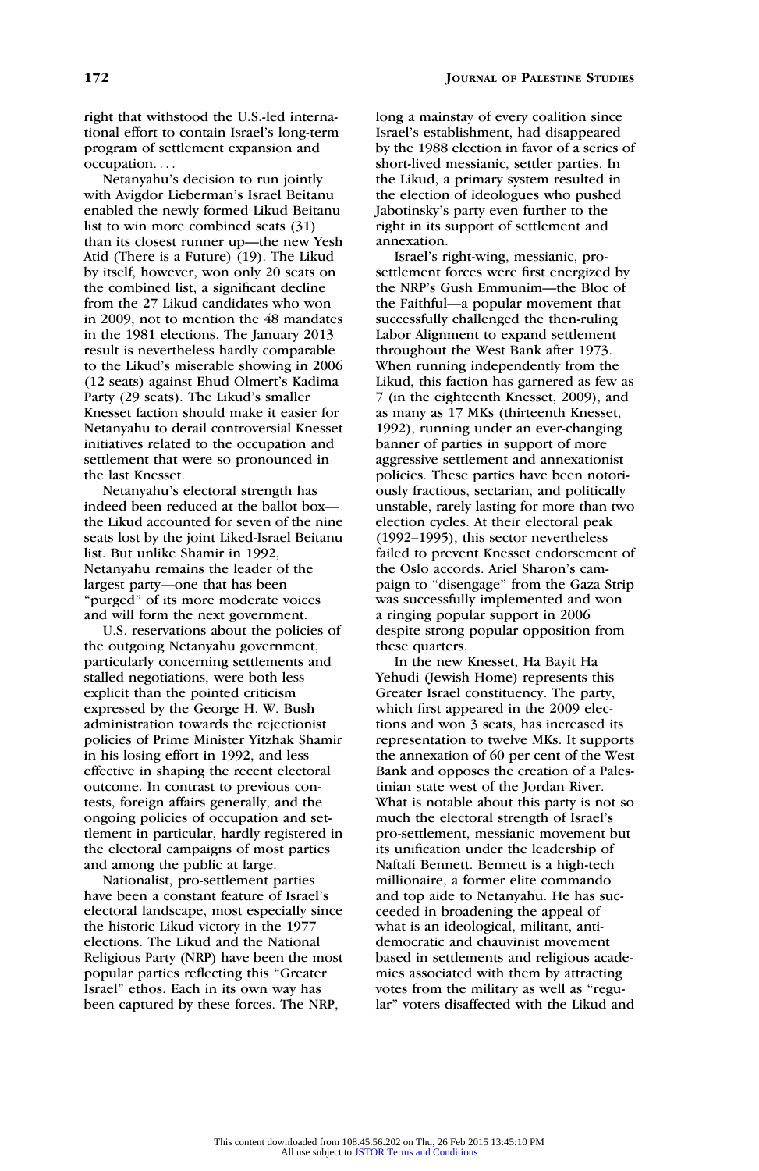right that withstood the U.S.-led international effort to contain Israel's long-term program of settlement expansion and occupation. ...

Netanyahu's decision to run jointly with Avigdor Lieberman's Israel Beitanu enabled the newly formed Likud Beitanu list to win more combined seats (31) than its closest runner up—the new Yesh Atid (There is a Future) (19). The Likud by itself, however, won only 20 seats on the combined list, a significant decline from the 27 Likud candidates who won in 2009, not to mention the 48 mandates in the 1981 elections. The January 2013 result is nevertheless hardly comparable to the Likud's miserable showing in 2006 (12 seats) against Ehud Olmert's Kadima Party (29 seats). The Likud's smaller Knesset faction should make it easier for Netanyahu to derail controversial Knesset initiatives related to the occupation and settlement that were so pronounced in the last Knesset.

Netanyahu's electoral strength has indeed been reduced at the ballot box the Likud accounted for seven of the nine seats lost by the joint Liked-Israel Beitanu list. But unlike Shamir in 1992, Netanyahu remains the leader of the largest party—one that has been ''purged'' of its more moderate voices and will form the next government.

U.S. reservations about the policies of the outgoing Netanyahu government, particularly concerning settlements and stalled negotiations, were both less explicit than the pointed criticism expressed by the George H. W. Bush administration towards the rejectionist policies of Prime Minister Yitzhak Shamir in his losing effort in 1992, and less effective in shaping the recent electoral outcome. In contrast to previous contests, foreign affairs generally, and the ongoing policies of occupation and settlement in particular, hardly registered in the electoral campaigns of most parties and among the public at large.

Nationalist, pro-settlement parties have been a constant feature of Israel's electoral landscape, most especially since the historic Likud victory in the 1977 elections. The Likud and the National Religious Party (NRP) have been the most popular parties reflecting this ''Greater Israel'' ethos. Each in its own way has been captured by these forces. The NRP,

long a mainstay of every coalition since Israel's establishment, had disappeared by the 1988 election in favor of a series of short-lived messianic, settler parties. In the Likud, a primary system resulted in the election of ideologues who pushed Jabotinsky's party even further to the right in its support of settlement and annexation.

Israel's right-wing, messianic, prosettlement forces were first energized by the NRP's Gush Emmunim—the Bloc of the Faithful—a popular movement that successfully challenged the then-ruling Labor Alignment to expand settlement throughout the West Bank after 1973. When running independently from the Likud, this faction has garnered as few as 7 (in the eighteenth Knesset, 2009), and as many as 17 MKs (thirteenth Knesset, 1992), running under an ever-changing banner of parties in support of more aggressive settlement and annexationist policies. These parties have been notoriously fractious, sectarian, and politically unstable, rarely lasting for more than two election cycles. At their electoral peak (1992–1995), this sector nevertheless failed to prevent Knesset endorsement of the Oslo accords. Ariel Sharon's campaign to "disengage" from the Gaza Strip was successfully implemented and won a ringing popular support in 2006 despite strong popular opposition from these quarters.

In the new Knesset, Ha Bayit Ha Yehudi (Jewish Home) represents this Greater Israel constituency. The party, which first appeared in the 2009 elections and won 3 seats, has increased its representation to twelve MKs. It supports the annexation of 60 per cent of the West Bank and opposes the creation of a Palestinian state west of the Jordan River. What is notable about this party is not so much the electoral strength of Israel's pro-settlement, messianic movement but its unification under the leadership of Naftali Bennett. Bennett is a high-tech millionaire, a former elite commando and top aide to Netanyahu. He has succeeded in broadening the appeal of what is an ideological, militant, antidemocratic and chauvinist movement based in settlements and religious academies associated with them by attracting votes from the military as well as ''regular'' voters disaffected with the Likud and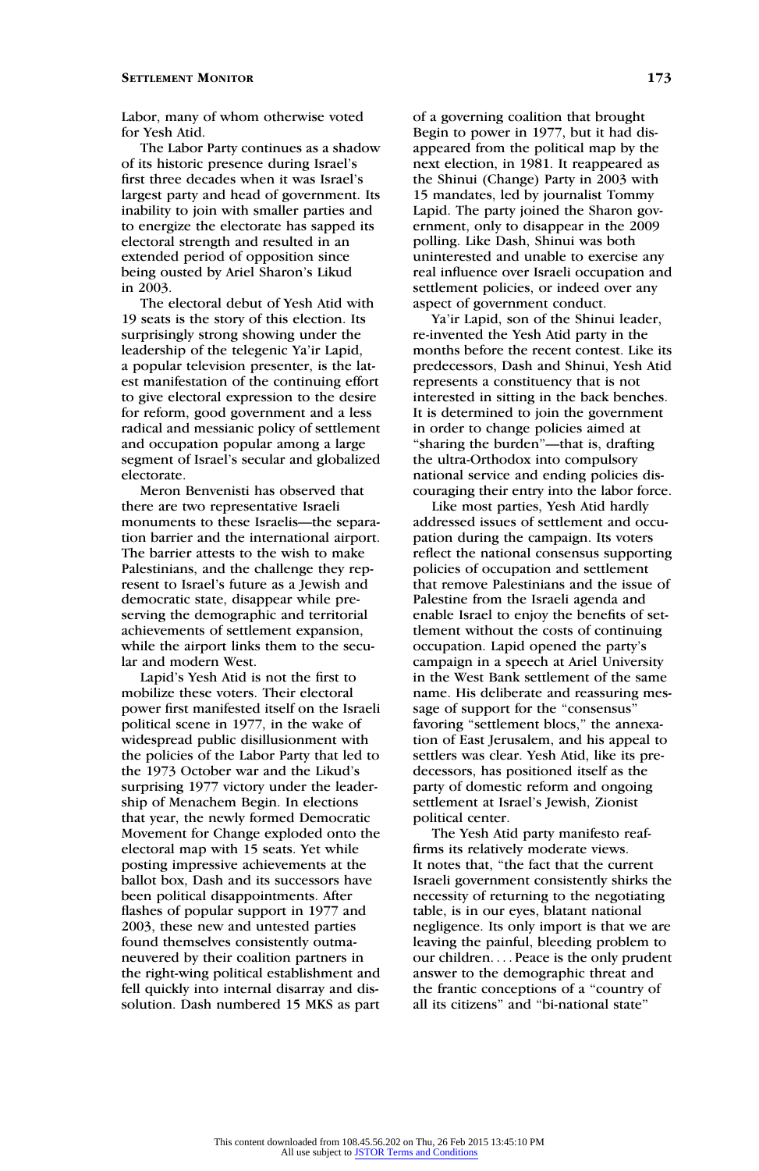Labor, many of whom otherwise voted for Yesh Atid.

The Labor Party continues as a shadow of its historic presence during Israel's first three decades when it was Israel's largest party and head of government. Its inability to join with smaller parties and to energize the electorate has sapped its electoral strength and resulted in an extended period of opposition since being ousted by Ariel Sharon's Likud in 2003.

The electoral debut of Yesh Atid with 19 seats is the story of this election. Its surprisingly strong showing under the leadership of the telegenic Ya'ir Lapid, a popular television presenter, is the latest manifestation of the continuing effort to give electoral expression to the desire for reform, good government and a less radical and messianic policy of settlement and occupation popular among a large segment of Israel's secular and globalized electorate.

Meron Benvenisti has observed that there are two representative Israeli monuments to these Israelis—the separation barrier and the international airport. The barrier attests to the wish to make Palestinians, and the challenge they represent to Israel's future as a Jewish and democratic state, disappear while preserving the demographic and territorial achievements of settlement expansion, while the airport links them to the secular and modern West.

Lapid's Yesh Atid is not the first to mobilize these voters. Their electoral power first manifested itself on the Israeli political scene in 1977, in the wake of widespread public disillusionment with the policies of the Labor Party that led to the 1973 October war and the Likud's surprising 1977 victory under the leadership of Menachem Begin. In elections that year, the newly formed Democratic Movement for Change exploded onto the electoral map with 15 seats. Yet while posting impressive achievements at the ballot box, Dash and its successors have been political disappointments. After flashes of popular support in 1977 and 2003, these new and untested parties found themselves consistently outmaneuvered by their coalition partners in the right-wing political establishment and fell quickly into internal disarray and dissolution. Dash numbered 15 MKS as part

of a governing coalition that brought Begin to power in 1977, but it had disappeared from the political map by the next election, in 1981. It reappeared as the Shinui (Change) Party in 2003 with 15 mandates, led by journalist Tommy Lapid. The party joined the Sharon government, only to disappear in the 2009 polling. Like Dash, Shinui was both uninterested and unable to exercise any real influence over Israeli occupation and settlement policies, or indeed over any aspect of government conduct.

Ya'ir Lapid, son of the Shinui leader, re-invented the Yesh Atid party in the months before the recent contest. Like its predecessors, Dash and Shinui, Yesh Atid represents a constituency that is not interested in sitting in the back benches. It is determined to join the government in order to change policies aimed at ''sharing the burden''—that is, drafting the ultra-Orthodox into compulsory national service and ending policies discouraging their entry into the labor force.

Like most parties, Yesh Atid hardly addressed issues of settlement and occupation during the campaign. Its voters reflect the national consensus supporting policies of occupation and settlement that remove Palestinians and the issue of Palestine from the Israeli agenda and enable Israel to enjoy the benefits of settlement without the costs of continuing occupation. Lapid opened the party's campaign in a speech at Ariel University in the West Bank settlement of the same name. His deliberate and reassuring message of support for the "consensus" favoring "settlement blocs," the annexation of East Jerusalem, and his appeal to settlers was clear. Yesh Atid, like its predecessors, has positioned itself as the party of domestic reform and ongoing settlement at Israel's Jewish, Zionist political center.

The Yesh Atid party manifesto reaffirms its relatively moderate views. It notes that, ''the fact that the current Israeli government consistently shirks the necessity of returning to the negotiating table, is in our eyes, blatant national negligence. Its only import is that we are leaving the painful, bleeding problem to our children. ... Peace is the only prudent answer to the demographic threat and the frantic conceptions of a ''country of all its citizens'' and ''bi-national state''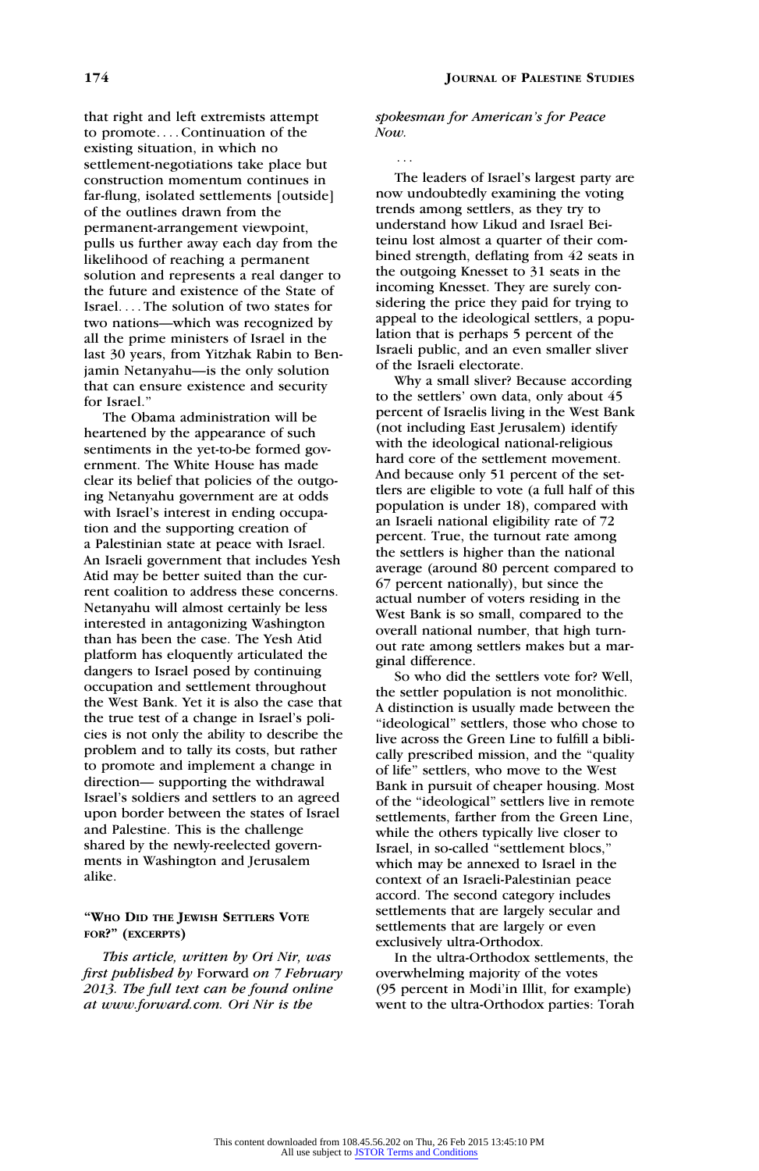that right and left extremists attempt to promote. ...Continuation of the existing situation, in which no settlement-negotiations take place but construction momentum continues in far-flung, isolated settlements [outside] of the outlines drawn from the permanent-arrangement viewpoint, pulls us further away each day from the likelihood of reaching a permanent solution and represents a real danger to the future and existence of the State of Israel. ... The solution of two states for two nations—which was recognized by all the prime ministers of Israel in the last 30 years, from Yitzhak Rabin to Benjamin Netanyahu—is the only solution that can ensure existence and security for Israel.''

The Obama administration will be heartened by the appearance of such sentiments in the yet-to-be formed government. The White House has made clear its belief that policies of the outgoing Netanyahu government are at odds with Israel's interest in ending occupation and the supporting creation of a Palestinian state at peace with Israel. An Israeli government that includes Yesh Atid may be better suited than the current coalition to address these concerns. Netanyahu will almost certainly be less interested in antagonizing Washington than has been the case. The Yesh Atid platform has eloquently articulated the dangers to Israel posed by continuing occupation and settlement throughout the West Bank. Yet it is also the case that the true test of a change in Israel's policies is not only the ability to describe the problem and to tally its costs, but rather to promote and implement a change in direction— supporting the withdrawal Israel's soldiers and settlers to an agreed upon border between the states of Israel and Palestine. This is the challenge shared by the newly-reelected governments in Washington and Jerusalem alike.

## ''WHO DID THE JEWISH SETTLERS VOTE FOR?'' (EXCERPTS)

This article, written by Ori Nir, was first published by Forward on 7 February 2013. The full text can be found online at www.forward.com. Ori Nir is the

spokesman for American's for Peace Now.

...

The leaders of Israel's largest party are now undoubtedly examining the voting trends among settlers, as they try to understand how Likud and Israel Beiteinu lost almost a quarter of their combined strength, deflating from 42 seats in the outgoing Knesset to 31 seats in the incoming Knesset. They are surely considering the price they paid for trying to appeal to the ideological settlers, a population that is perhaps 5 percent of the Israeli public, and an even smaller sliver of the Israeli electorate.

Why a small sliver? Because according to the settlers' own data, only about 45 percent of Israelis living in the West Bank (not including East Jerusalem) identify with the ideological national-religious hard core of the settlement movement. And because only 51 percent of the settlers are eligible to vote (a full half of this population is under 18), compared with an Israeli national eligibility rate of 72 percent. True, the turnout rate among the settlers is higher than the national average (around 80 percent compared to 67 percent nationally), but since the actual number of voters residing in the West Bank is so small, compared to the overall national number, that high turnout rate among settlers makes but a marginal difference.

So who did the settlers vote for? Well, the settler population is not monolithic. A distinction is usually made between the "ideological" settlers, those who chose to live across the Green Line to fulfill a biblically prescribed mission, and the ''quality of life'' settlers, who move to the West Bank in pursuit of cheaper housing. Most of the ''ideological'' settlers live in remote settlements, farther from the Green Line, while the others typically live closer to Israel, in so-called ''settlement blocs,'' which may be annexed to Israel in the context of an Israeli-Palestinian peace accord. The second category includes settlements that are largely secular and settlements that are largely or even exclusively ultra-Orthodox.

In the ultra-Orthodox settlements, the overwhelming majority of the votes (95 percent in Modi'in Illit, for example) went to the ultra-Orthodox parties: Torah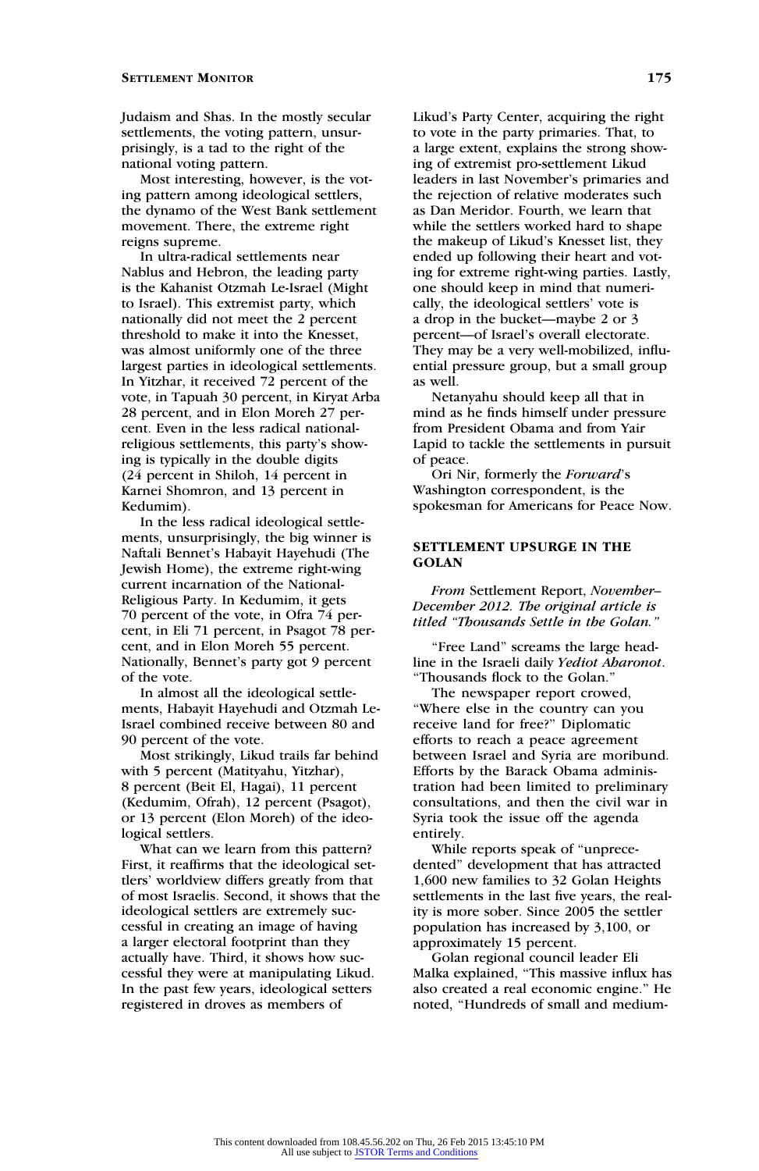Judaism and Shas. In the mostly secular settlements, the voting pattern, unsurprisingly, is a tad to the right of the national voting pattern.

Most interesting, however, is the voting pattern among ideological settlers, the dynamo of the West Bank settlement movement. There, the extreme right reigns supreme.

In ultra-radical settlements near Nablus and Hebron, the leading party is the Kahanist Otzmah Le-Israel (Might to Israel). This extremist party, which nationally did not meet the 2 percent threshold to make it into the Knesset, was almost uniformly one of the three largest parties in ideological settlements. In Yitzhar, it received 72 percent of the vote, in Tapuah 30 percent, in Kiryat Arba 28 percent, and in Elon Moreh 27 percent. Even in the less radical nationalreligious settlements, this party's showing is typically in the double digits (24 percent in Shiloh, 14 percent in Karnei Shomron, and 13 percent in Kedumim).

In the less radical ideological settlements, unsurprisingly, the big winner is Naftali Bennet's Habayit Hayehudi (The Jewish Home), the extreme right-wing current incarnation of the National-Religious Party. In Kedumim, it gets 70 percent of the vote, in Ofra 74 percent, in Eli 71 percent, in Psagot 78 percent, and in Elon Moreh 55 percent. Nationally, Bennet's party got 9 percent of the vote.

In almost all the ideological settlements, Habayit Hayehudi and Otzmah Le-Israel combined receive between 80 and 90 percent of the vote.

Most strikingly, Likud trails far behind with 5 percent (Matityahu, Yitzhar), 8 percent (Beit El, Hagai), 11 percent (Kedumim, Ofrah), 12 percent (Psagot), or 13 percent (Elon Moreh) of the ideological settlers.

What can we learn from this pattern? First, it reaffirms that the ideological settlers' worldview differs greatly from that of most Israelis. Second, it shows that the ideological settlers are extremely successful in creating an image of having a larger electoral footprint than they actually have. Third, it shows how successful they were at manipulating Likud. In the past few years, ideological setters registered in droves as members of

Likud's Party Center, acquiring the right to vote in the party primaries. That, to a large extent, explains the strong showing of extremist pro-settlement Likud leaders in last November's primaries and the rejection of relative moderates such as Dan Meridor. Fourth, we learn that while the settlers worked hard to shape the makeup of Likud's Knesset list, they ended up following their heart and voting for extreme right-wing parties. Lastly, one should keep in mind that numerically, the ideological settlers' vote is a drop in the bucket—maybe 2 or 3 percent—of Israel's overall electorate. They may be a very well-mobilized, influential pressure group, but a small group as well.

Netanyahu should keep all that in mind as he finds himself under pressure from President Obama and from Yair Lapid to tackle the settlements in pursuit of peace.

Ori Nir, formerly the Forward's Washington correspondent, is the spokesman for Americans for Peace Now.

## SETTLEMENT UPSURGE IN THE GOLAN

From Settlement Report, November– December 2012. The original article is titled ''Thousands Settle in the Golan.''

"Free Land" screams the large headline in the Israeli daily Yediot Aharonot. ''Thousands flock to the Golan.''

The newspaper report crowed, ''Where else in the country can you receive land for free?'' Diplomatic efforts to reach a peace agreement between Israel and Syria are moribund. Efforts by the Barack Obama administration had been limited to preliminary consultations, and then the civil war in Syria took the issue off the agenda entirely.

While reports speak of ''unprecedented'' development that has attracted 1,600 new families to 32 Golan Heights settlements in the last five years, the reality is more sober. Since 2005 the settler population has increased by 3,100, or approximately 15 percent.

Golan regional council leader Eli Malka explained, ''This massive influx has also created a real economic engine.'' He noted, ''Hundreds of small and medium